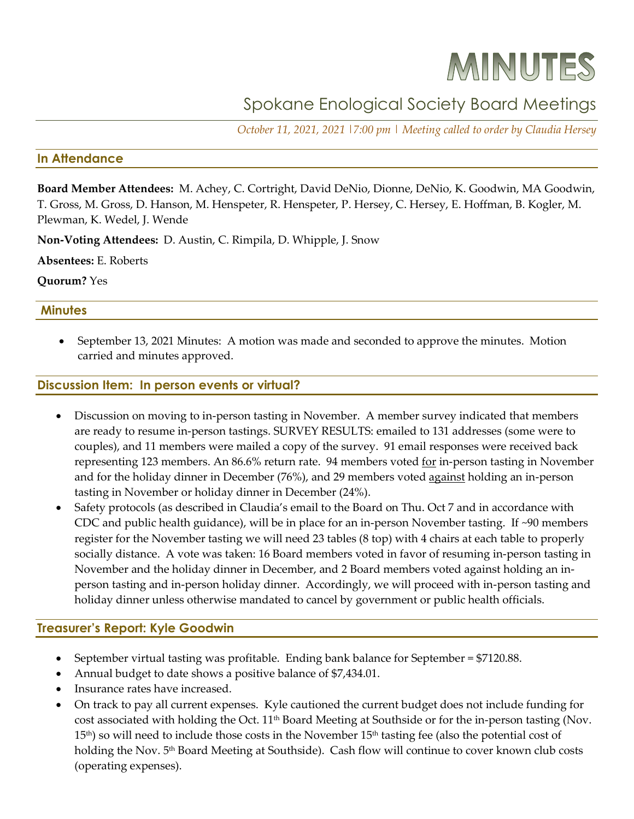# MINUTES

# Spokane Enological Society Board Meetings

*October 11, 2021, 2021 |7:00 pm | Meeting called to order by Claudia Hersey*

# **In Attendance**

**Board Member Attendees:** M. Achey, C. Cortright, David DeNio, Dionne, DeNio, K. Goodwin, MA Goodwin, T. Gross, M. Gross, D. Hanson, M. Henspeter, R. Henspeter, P. Hersey, C. Hersey, E. Hoffman, B. Kogler, M. Plewman, K. Wedel, J. Wende

**Non-Voting Attendees:** D. Austin, C. Rimpila, D. Whipple, J. Snow

**Absentees:** E. Roberts

# **Quorum?** Yes

# **Minutes**

• September 13, 2021 Minutes: A motion was made and seconded to approve the minutes. Motion carried and minutes approved.

# **Discussion Item: In person events or virtual?**

- Discussion on moving to in-person tasting in November. A member survey indicated that members are ready to resume in-person tastings. SURVEY RESULTS: emailed to 131 addresses (some were to couples), and 11 members were mailed a copy of the survey. 91 email responses were received back representing 123 members. An 86.6% return rate. 94 members voted for in-person tasting in November and for the holiday dinner in December (76%), and 29 members voted against holding an in-person tasting in November or holiday dinner in December (24%).
- Safety protocols (as described in Claudia's email to the Board on Thu. Oct 7 and in accordance with CDC and public health guidance), will be in place for an in-person November tasting. If ~90 members register for the November tasting we will need 23 tables (8 top) with 4 chairs at each table to properly socially distance. A vote was taken: 16 Board members voted in favor of resuming in-person tasting in November and the holiday dinner in December, and 2 Board members voted against holding an inperson tasting and in-person holiday dinner. Accordingly, we will proceed with in-person tasting and holiday dinner unless otherwise mandated to cancel by government or public health officials.

# **Treasurer's Report: Kyle Goodwin**

- September virtual tasting was profitable. Ending bank balance for September = \$7120.88.
- Annual budget to date shows a positive balance of \$7,434.01.
- Insurance rates have increased.
- On track to pay all current expenses. Kyle cautioned the current budget does not include funding for cost associated with holding the Oct. 11<sup>th</sup> Board Meeting at Southside or for the in-person tasting (Nov.  $15<sup>th</sup>$ ) so will need to include those costs in the November  $15<sup>th</sup>$  tasting fee (also the potential cost of holding the Nov. 5<sup>th</sup> Board Meeting at Southside). Cash flow will continue to cover known club costs (operating expenses).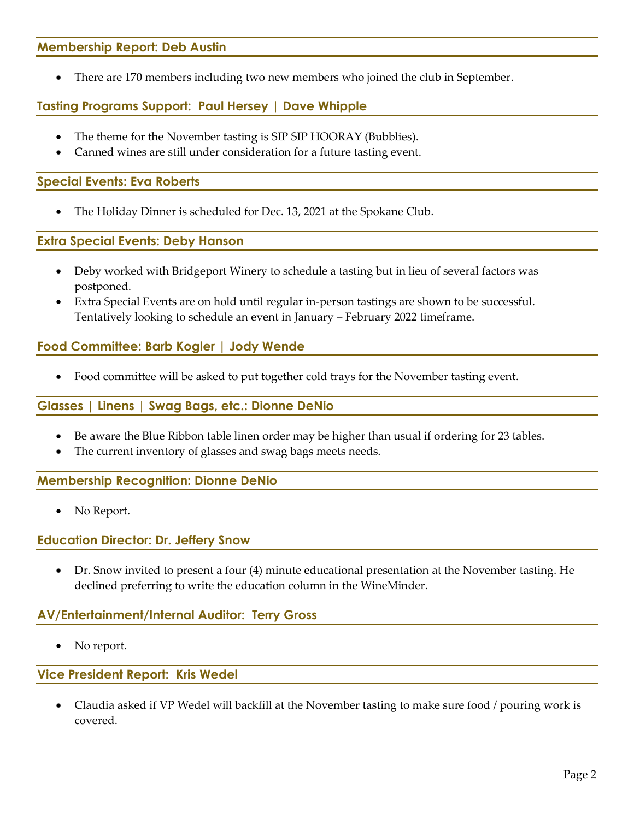# **Membership Report: Deb Austin**

• There are 170 members including two new members who joined the club in September.

**Tasting Programs Support: Paul Hersey | Dave Whipple**

- The theme for the November tasting is SIP SIP HOORAY (Bubblies).
- Canned wines are still under consideration for a future tasting event.

# **Special Events: Eva Roberts**

• The Holiday Dinner is scheduled for Dec. 13, 2021 at the Spokane Club.

# **Extra Special Events: Deby Hanson**

- Deby worked with Bridgeport Winery to schedule a tasting but in lieu of several factors was postponed.
- Extra Special Events are on hold until regular in-person tastings are shown to be successful. Tentatively looking to schedule an event in January – February 2022 timeframe.

# **Food Committee: Barb Kogler | Jody Wende**

• Food committee will be asked to put together cold trays for the November tasting event.

# **Glasses | Linens | Swag Bags, etc.: Dionne DeNio**

- Be aware the Blue Ribbon table linen order may be higher than usual if ordering for 23 tables.
- The current inventory of glasses and swag bags meets needs.

# **Membership Recognition: Dionne DeNio**

No Report.

**Education Director: Dr. Jeffery Snow**

• Dr. Snow invited to present a four (4) minute educational presentation at the November tasting. He declined preferring to write the education column in the WineMinder.

# **AV/Entertainment/Internal Auditor: Terry Gross**

• No report.

# **Vice President Report: Kris Wedel**

• Claudia asked if VP Wedel will backfill at the November tasting to make sure food / pouring work is covered.